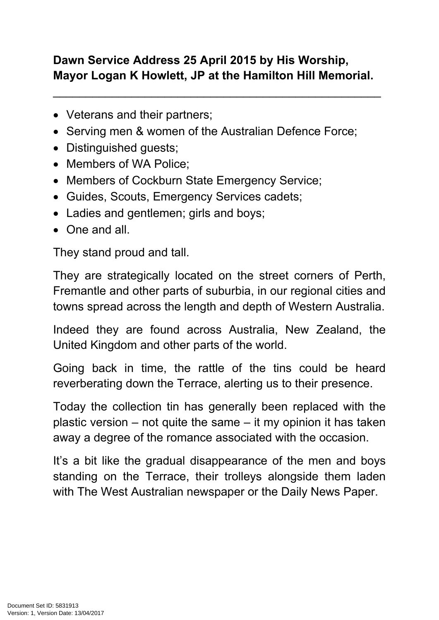## **Dawn Service Address 25 April 2015 by His Worship, Mayor Logan K Howlett, JP at the Hamilton Hill Memorial.**

\_\_\_\_\_\_\_\_\_\_\_\_\_\_\_\_\_\_\_\_\_\_\_\_\_\_\_\_\_\_\_\_\_\_\_\_\_\_\_\_\_\_\_\_\_\_\_\_\_\_

- Veterans and their partners;
- Serving men & women of the Australian Defence Force;
- Distinguished guests;
- Members of WA Police:
- Members of Cockburn State Emergency Service;
- Guides, Scouts, Emergency Services cadets;
- Ladies and gentlemen; girls and boys;
- One and all

They stand proud and tall.

They are strategically located on the street corners of Perth, Fremantle and other parts of suburbia, in our regional cities and towns spread across the length and depth of Western Australia.

Indeed they are found across Australia, New Zealand, the United Kingdom and other parts of the world.

Going back in time, the rattle of the tins could be heard reverberating down the Terrace, alerting us to their presence.

Today the collection tin has generally been replaced with the plastic version – not quite the same – it my opinion it has taken away a degree of the romance associated with the occasion.

It's a bit like the gradual disappearance of the men and boys standing on the Terrace, their trolleys alongside them laden with The West Australian newspaper or the Daily News Paper.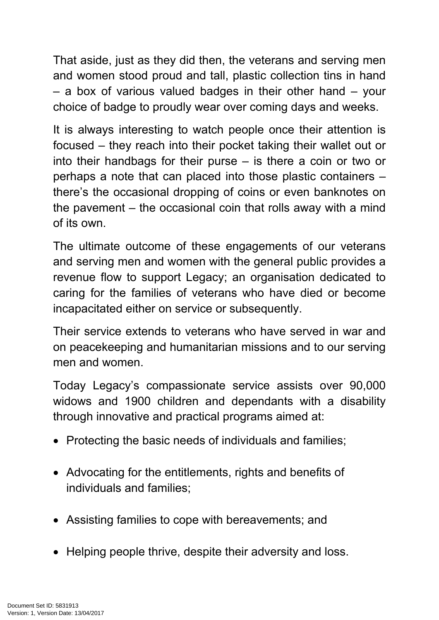That aside, just as they did then, the veterans and serving men and women stood proud and tall, plastic collection tins in hand – a box of various valued badges in their other hand – your choice of badge to proudly wear over coming days and weeks.

It is always interesting to watch people once their attention is focused – they reach into their pocket taking their wallet out or into their handbags for their purse – is there a coin or two or perhaps a note that can placed into those plastic containers – there's the occasional dropping of coins or even banknotes on the pavement – the occasional coin that rolls away with a mind of its own.

The ultimate outcome of these engagements of our veterans and serving men and women with the general public provides a revenue flow to support Legacy; an organisation dedicated to caring for the families of veterans who have died or become incapacitated either on service or subsequently.

Their service extends to veterans who have served in war and on peacekeeping and humanitarian missions and to our serving men and women.

Today Legacy's compassionate service assists over 90,000 widows and 1900 children and dependants with a disability through innovative and practical programs aimed at:

- Protecting the basic needs of individuals and families;
- Advocating for the entitlements, rights and benefits of individuals and families;
- Assisting families to cope with bereavements; and
- Helping people thrive, despite their adversity and loss.